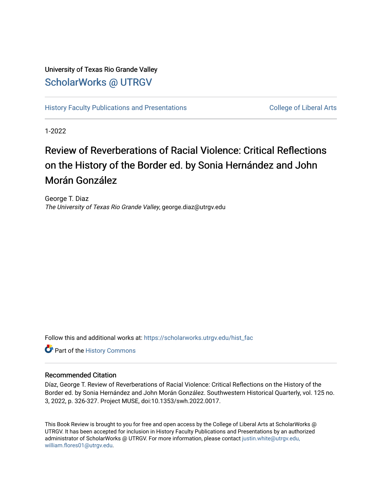## University of Texas Rio Grande Valley [ScholarWorks @ UTRGV](https://scholarworks.utrgv.edu/)

[History Faculty Publications and Presentations](https://scholarworks.utrgv.edu/hist_fac) **COLLEGE 12 College of Liberal Arts** 

1-2022

## Review of Reverberations of Racial Violence: Critical Reflections on the History of the Border ed. by Sonia Hernández and John Morán González

George T. Diaz The University of Texas Rio Grande Valley, george.diaz@utrgv.edu

Follow this and additional works at: [https://scholarworks.utrgv.edu/hist\\_fac](https://scholarworks.utrgv.edu/hist_fac?utm_source=scholarworks.utrgv.edu%2Fhist_fac%2F97&utm_medium=PDF&utm_campaign=PDFCoverPages) 

Part of the [History Commons](http://network.bepress.com/hgg/discipline/489?utm_source=scholarworks.utrgv.edu%2Fhist_fac%2F97&utm_medium=PDF&utm_campaign=PDFCoverPages) 

## Recommended Citation

Díaz, George T. Review of Reverberations of Racial Violence: Critical Reflections on the History of the Border ed. by Sonia Hernández and John Morán González. Southwestern Historical Quarterly, vol. 125 no. 3, 2022, p. 326-327. Project MUSE, doi:10.1353/swh.2022.0017.

This Book Review is brought to you for free and open access by the College of Liberal Arts at ScholarWorks @ UTRGV. It has been accepted for inclusion in History Faculty Publications and Presentations by an authorized administrator of ScholarWorks @ UTRGV. For more information, please contact [justin.white@utrgv.edu,](mailto:justin.white@utrgv.edu,%20william.flores01@utrgv.edu)  [william.flores01@utrgv.edu](mailto:justin.white@utrgv.edu,%20william.flores01@utrgv.edu).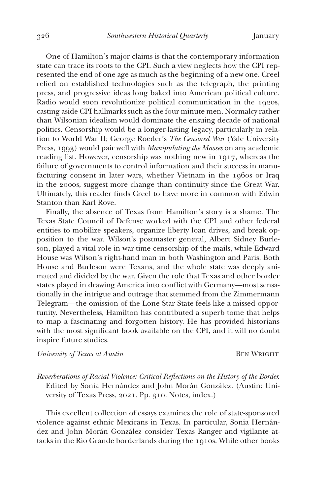One of Hamilton's major claims is that the contemporary information state can trace its roots to the CPI. Such a view neglects how the CPI represented the end of one age as much as the beginning of a new one. Creel relied on established technologies such as the telegraph, the printing press, and progressive ideas long baked into American political culture. Radio would soon revolutionize political communication in the 1920s, casting aside CPI hallmarks such as the four-minute men. Normalcy rather than Wilsonian idealism would dominate the ensuing decade of national politics. Censorship would be a longer-lasting legacy, particularly in relation to World War II; George Roeder's *The Censored War* (Yale University Press, 1993) would pair well with *Manipulating the Masses* on any academic reading list. However, censorship was nothing new in 1917, whereas the failure of governments to control information and their success in manufacturing consent in later wars, whether Vietnam in the 1960s or Iraq in the 2000s, suggest more change than continuity since the Great War. Ultimately, this reader finds Creel to have more in common with Edwin Stanton than Karl Rove.

Finally, the absence of Texas from Hamilton's story is a shame. The Texas State Council of Defense worked with the CPI and other federal entities to mobilize speakers, organize liberty loan drives, and break opposition to the war. Wilson's postmaster general, Albert Sidney Burleson, played a vital role in war-time censorship of the mails, while Edward House was Wilson's right-hand man in both Washington and Paris. Both House and Burleson were Texans, and the whole state was deeply animated and divided by the war. Given the role that Texas and other border states played in drawing America into conflict with Germany—most sensationally in the intrigue and outrage that stemmed from the Zimmermann Telegram—the omission of the Lone Star State feels like a missed opportunity. Nevertheless, Hamilton has contributed a superb tome that helps to map a fascinating and forgotten history. He has provided historians with the most significant book available on the CPI, and it will no doubt inspire future studies.

*University of Texas at Austin* BEN WRIGHT

*Reverberations of Racial Violence: Critical Reflections on the History of the Border.*  Edited by Sonia Hernández and John Morán González. (Austin: University of Texas Press, 2021. Pp. 310. Notes, index.)

This excellent collection of essays examines the role of state-sponsored violence against ethnic Mexicans in Texas. In particular, Sonia Hernández and John Morán González consider Texas Ranger and vigilante attacks in the Rio Grande borderlands during the 1910s. While other books